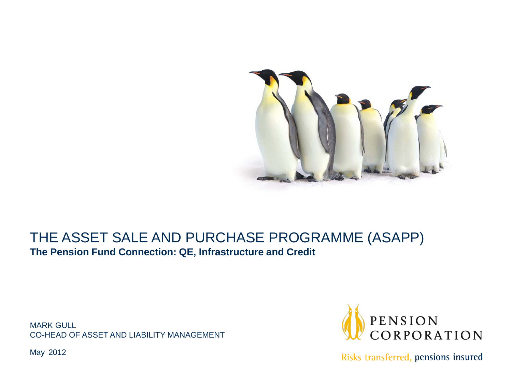

## THE ASSET SALE AND PURCHASE PROGRAMME (ASAPP) **The Pension Fund Connection: QE, Infrastructure and Credit**

MARK GULL CO-HEAD OF ASSET AND LIABILITY MANAGEMENT PENSION<br>CORPORATION

Risks transferred, pensions insured

May 2012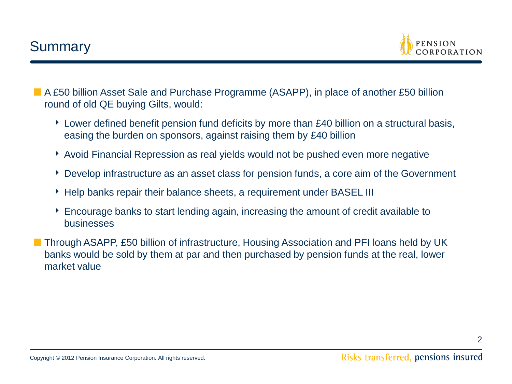

■ A £50 billion Asset Sale and Purchase Programme (ASAPP), in place of another £50 billion round of old QE buying Gilts, would:

- ‣ Lower defined benefit pension fund deficits by more than £40 billion on a structural basis, easing the burden on sponsors, against raising them by £40 billion
- ‣ Avoid Financial Repression as real yields would not be pushed even more negative
- ‣ Develop infrastructure as an asset class for pension funds, a core aim of the Government
- ‣ Help banks repair their balance sheets, a requirement under BASEL III
- ‣ Encourage banks to start lending again, increasing the amount of credit available to businesses
- Through ASAPP, £50 billion of infrastructure, Housing Association and PFI loans held by UK banks would be sold by them at par and then purchased by pension funds at the real, lower market value

2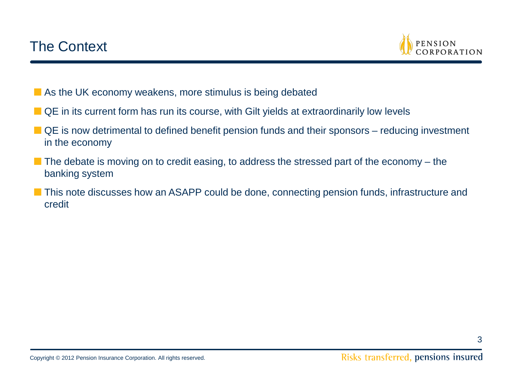

- As the UK economy weakens, more stimulus is being debated
- QE in its current form has run its course, with Gilt yields at extraordinarily low levels
- QE is now detrimental to defined benefit pension funds and their sponsors reducing investment in the economy
- The debate is moving on to credit easing, to address the stressed part of the economy the banking system
- This note discusses how an ASAPP could be done, connecting pension funds, infrastructure and credit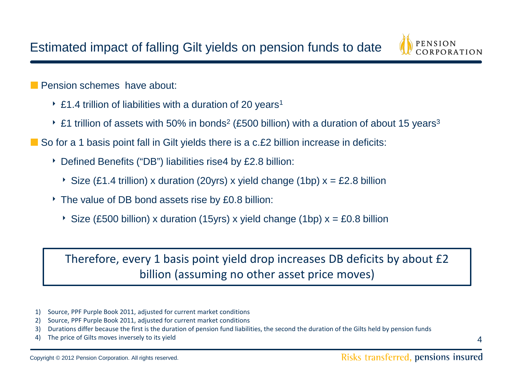

**■** Pension schemes have about:

- $\cdot$  £1.4 trillion of liabilities with a duration of 20 years<sup>1</sup>
- $\cdot$  £1 trillion of assets with 50% in bonds<sup>2</sup> (£500 billion) with a duration of about 15 years<sup>3</sup>
- So for a 1 basis point fall in Gilt yields there is a c.£2 billion increase in deficits:
	- ‣ Defined Benefits ("DB") liabilities rise4 by £2.8 billion:
		- $\rightarrow$  Size (£1.4 trillion) x duration (20yrs) x yield change (1bp) x = £2.8 billion
	- ‣ The value of DB bond assets rise by £0.8 billion:
		- $\rightarrow$  Size (£500 billion) x duration (15yrs) x yield change (1bp) x = £0.8 billion

Therefore, every 1 basis point yield drop increases DB deficits by about £2 billion (assuming no other asset price moves)

- 1) Source, PPF Purple Book 2011, adjusted for current market conditions
- 2) Source, PPF Purple Book 2011, adjusted for current market conditions
- 3) Durations differ because the first is the duration of pension fund liabilities, the second the duration of the Gilts held by pension funds
- 4) The price of Gilts moves inversely to its yield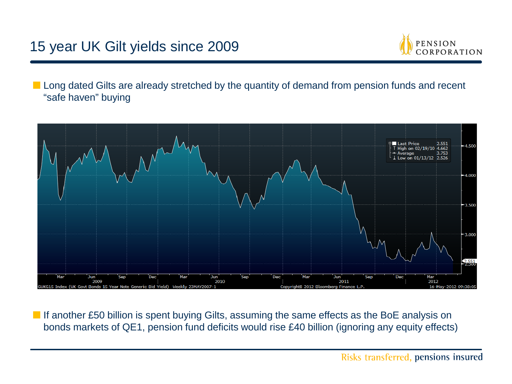# 15 year UK Gilt yields since 2009



■ Long dated Gilts are already stretched by the quantity of demand from pension funds and recent "safe haven" buying



■ If another £50 billion is spent buying Gilts, assuming the same effects as the BoE analysis on bonds markets of QE1, pension fund deficits would rise £40 billion (ignoring any equity effects)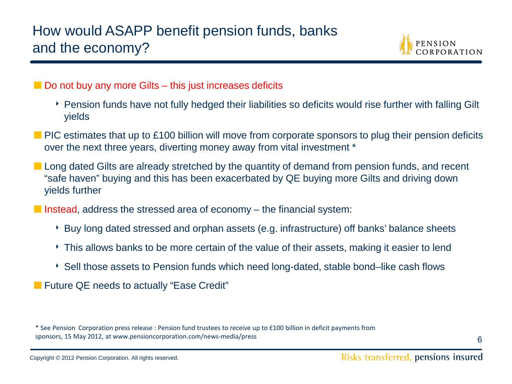

- Do not buy any more Gilts this just increases deficits
	- ‣ Pension funds have not fully hedged their liabilities so deficits would rise further with falling Gilt yields
- PIC estimates that up to £100 billion will move from corporate sponsors to plug their pension deficits over the next three years, diverting money away from vital investment \*
- Long dated Gilts are already stretched by the quantity of demand from pension funds, and recent "safe haven" buying and this has been exacerbated by QE buying more Gilts and driving down yields further
- Instead, address the stressed area of economy the financial system:
	- ‣ Buy long dated stressed and orphan assets (e.g. infrastructure) off banks' balance sheets
	- ‣ This allows banks to be more certain of the value of their assets, making it easier to lend
	- ‣ Sell those assets to Pension funds which need long-dated, stable bond–like cash flows
- Future QE needs to actually "Ease Credit"

<sup>\*</sup> See Pension Corporation press release : Pension fund trustees to receive up to £100 billion in deficit payments from sponsors, 15 May 2012, at www.pensioncorporation.com/news-media/press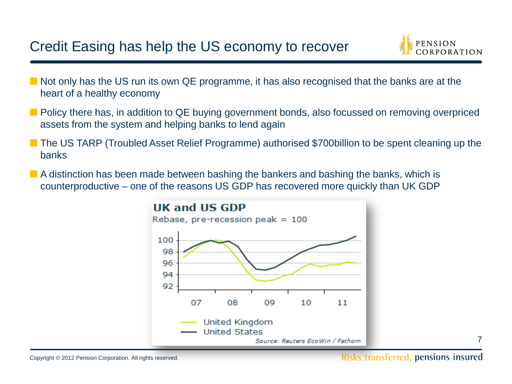# Credit Easing has help the US economy to recover



- Not only has the US run its own QE programme, it has also recognised that the banks are at the heart of a healthy economy
- Policy there has, in addition to QE buying government bonds, also focussed on removing overpriced assets from the system and helping banks to lend again
- The US TARP (Troubled Asset Relief Programme) authorised \$700billion to be spent cleaning up the banks
- A distinction has been made between bashing the bankers and bashing the banks, which is counterproductive – one of the reasons US GDP has recovered more quickly than UK GDP

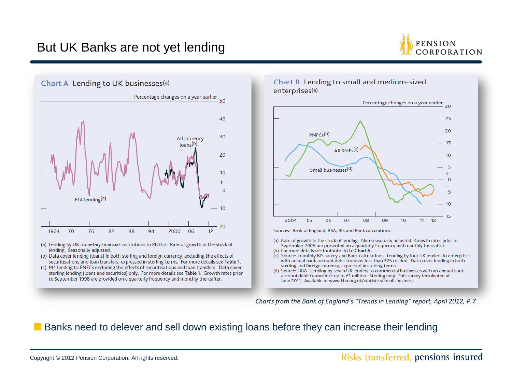## But UK Banks are not yet lending



Chart A Lending to UK businesses(a)



- (a) Lending by UK monetary financial institutions to PNFCs. Rate of growth in the stock of lending. Seasonally adjusted.
- (b) Data cover lending (loans) in both sterling and foreign currency, excluding the effects of securitisations and loan transfers, expressed in sterling terms. For more details see Table 1.
- (c) M4 lending to PNFCs excluding the effects of securitisations and loan transfers. Data cover sterling lending (loans and securities) only. For more details see Table 1. Growth rates prior to September 1998 are provided on a quarterly frequency and monthly thereafter.

#### Chart B Lending to small and medium-sized enterprises<sup>(a)</sup>



Sources: Bank of England, BBA, BIS and Bank calculations.

- (a) Rate of growth in the stock of lending. Non seasonally adjusted. Growth rates prior to September 2009 are presented on a quarterly frequency and monthly thereafter.
- (b) For more details see footnote (b) to Chart A.
- (c) Source: monthly BIS survey and Bank calculations. Lending by four UK lenders to enterprises with annual bank account debit turnover less than £25 million. Data cover lending in both sterling and foreign currency, expressed in sterling terms.
- (d) Source: BBA. Lending by seven UK lenders to commercial businesses with an annual bank account debit turnover of up to £1 million. Sterling only. This survey terminated at June 2011. Available at www.bba.org.uk/statistics/small-business.

*Charts from the Bank of England's "Trends in Lending" report, April 2012, P.7*

### ■ Banks need to delever and sell down existing loans before they can increase their lending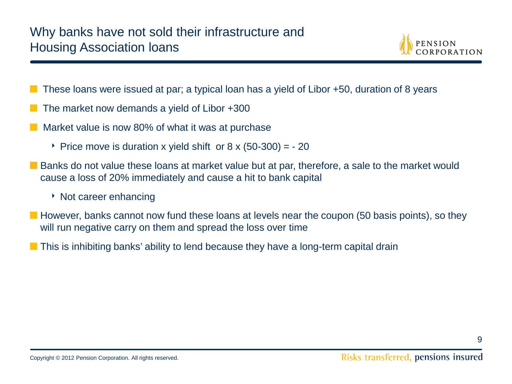

- These loans were issued at par; a typical loan has a yield of Libor +50, duration of 8 years
- The market now demands a yield of Libor +300
- Market value is now 80% of what it was at purchase
	- Price move is duration x yield shift or  $8 \times (50-300) = -20$
- Banks do not value these loans at market value but at par, therefore, a sale to the market would cause a loss of 20% immediately and cause a hit to bank capital
	- ‣ Not career enhancing
- However, banks cannot now fund these loans at levels near the coupon (50 basis points), so they will run negative carry on them and spread the loss over time
- This is inhibiting banks' ability to lend because they have a long-term capital drain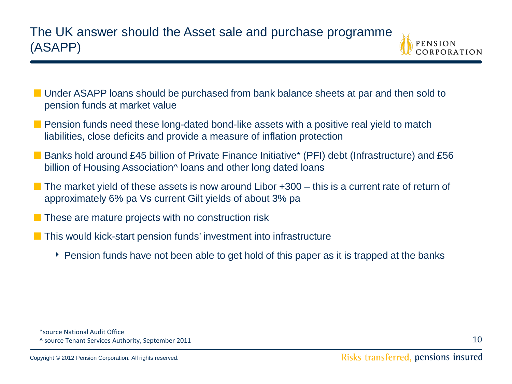

- Under ASAPP loans should be purchased from bank balance sheets at par and then sold to pension funds at market value
- Pension funds need these long-dated bond-like assets with a positive real yield to match liabilities, close deficits and provide a measure of inflation protection
- Banks hold around £45 billion of Private Finance Initiative<sup>\*</sup> (PFI) debt (Infrastructure) and £56 billion of Housing Association<sup>^</sup> loans and other long dated loans
- The market yield of these assets is now around Libor +300 this is a current rate of return of approximately 6% pa Vs current Gilt yields of about 3% pa
- These are mature projects with no construction risk
- This would kick-start pension funds' investment into infrastructure
	- ‣ Pension funds have not been able to get hold of this paper as it is trapped at the banks

<sup>\*</sup>source National Audit Office ^ source Tenant Services Authority, September 2011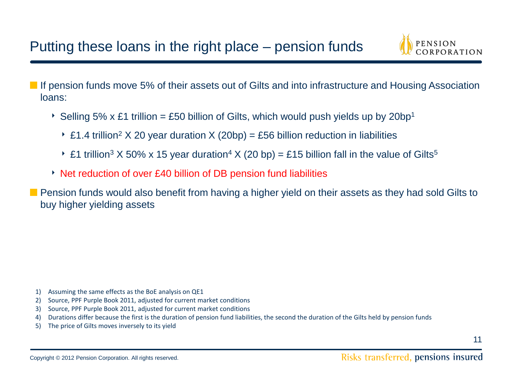

■ If pension funds move 5% of their assets out of Gilts and into infrastructure and Housing Association loans:

- Selling 5% x £1 trillion = £50 billion of Gilts, which would push yields up by 20bp<sup>1</sup>
	- ▶ £1.4 trillion<sup>2</sup> X 20 year duration X (20bp) = £56 billion reduction in liabilities
	- £1 trillion<sup>3</sup> X 50% x 15 year duration<sup>4</sup> X (20 bp) = £15 billion fall in the value of Gilts<sup>5</sup>
- ‣ Net reduction of over £40 billion of DB pension fund liabilities
- **Pension funds would also benefit from having a higher yield on their assets as they had sold Gilts to** buy higher yielding assets

- 1) Assuming the same effects as the BoE analysis on QE1
- 2) Source, PPF Purple Book 2011, adjusted for current market conditions
- 3) Source, PPF Purple Book 2011, adjusted for current market conditions
- 4) Durations differ because the first is the duration of pension fund liabilities, the second the duration of the Gilts held by pension funds
- 5) The price of Gilts moves inversely to its yield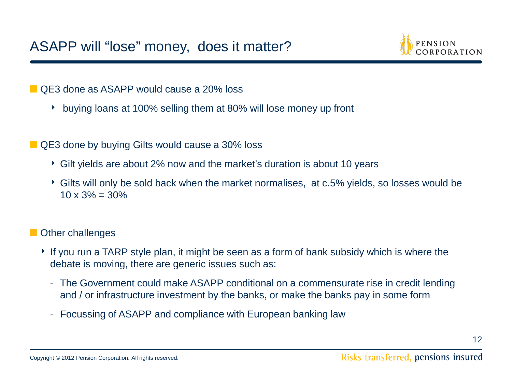

■ QE3 done as ASAPP would cause a 20% loss

- ‣ buying loans at 100% selling them at 80% will lose money up front
- QE3 done by buying Gilts would cause a 30% loss
	- ‣ Gilt yields are about 2% now and the market's duration is about 10 years
	- ‣ Gilts will only be sold back when the market normalises, at c.5% yields, so losses would be  $10 \times 3\% = 30\%$

## **■** Other challenges

- ‣ If you run a TARP style plan, it might be seen as a form of bank subsidy which is where the debate is moving, there are generic issues such as:
	- The Government could make ASAPP conditional on a commensurate rise in credit lending and / or infrastructure investment by the banks, or make the banks pay in some form
	- Focussing of ASAPP and compliance with European banking law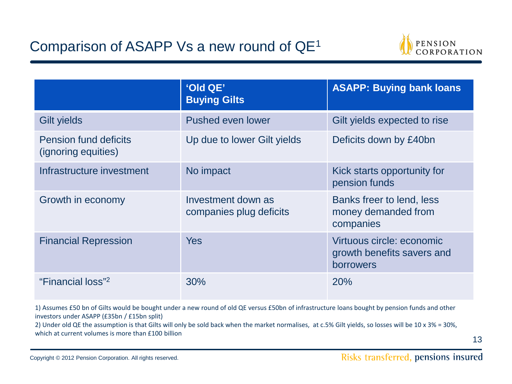# Comparison of ASAPP Vs a new round of QE1



|                                                     | 'Old QE'<br><b>Buying Gilts</b>               | <b>ASAPP: Buying bank loans</b>                                             |
|-----------------------------------------------------|-----------------------------------------------|-----------------------------------------------------------------------------|
| <b>Gilt yields</b>                                  | Pushed even lower                             | Gilt yields expected to rise                                                |
| <b>Pension fund deficits</b><br>(ignoring equities) | Up due to lower Gilt yields                   | Deficits down by £40bn                                                      |
| Infrastructure investment                           | No impact                                     | Kick starts opportunity for<br>pension funds                                |
| Growth in economy                                   | Investment down as<br>companies plug deficits | Banks freer to lend, less<br>money demanded from<br>companies               |
| <b>Financial Repression</b>                         | <b>Yes</b>                                    | Virtuous circle: economic<br>growth benefits savers and<br><b>borrowers</b> |
| "Financial loss" <sup>2</sup>                       | 30%                                           | 20%                                                                         |

1) Assumes £50 bn of Gilts would be bought under a new round of old QE versus £50bn of infrastructure loans bought by pension funds and other investors under ASAPP (£35bn / £15bn split)

2) Under old QE the assumption is that Gilts will only be sold back when the market normalises, at c.5% Gilt yields, so losses will be 10 x 3% = 30%, which at current volumes is more than £100 billion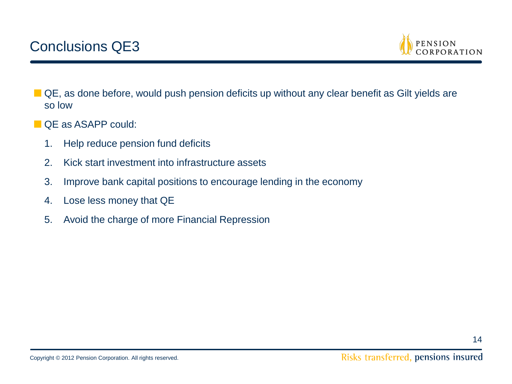

- QE, as done before, would push pension deficits up without any clear benefit as Gilt yields are so low
- QE as ASAPP could:
	- 1. Help reduce pension fund deficits
	- 2. Kick start investment into infrastructure assets
	- 3. Improve bank capital positions to encourage lending in the economy
	- 4. Lose less money that QE
	- 5. Avoid the charge of more Financial Repression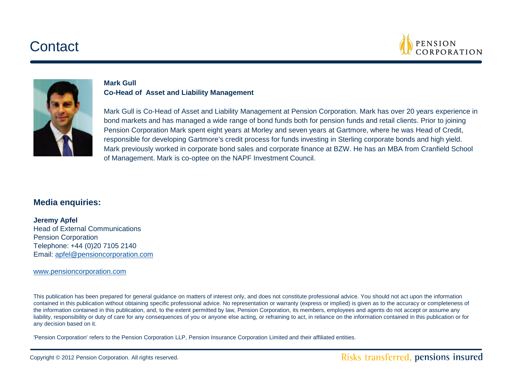# **Contact**





#### **Mark Gull Co-Head of Asset and Liability Management**

Mark Gull is Co-Head of Asset and Liability Management at Pension Corporation. Mark has over 20 years experience in bond markets and has managed a wide range of bond funds both for pension funds and retail clients. Prior to joining Pension Corporation Mark spent eight years at Morley and seven years at Gartmore, where he was Head of Credit, responsible for developing Gartmore's credit process for funds investing in Sterling corporate bonds and high yield. Mark previously worked in corporate bond sales and corporate finance at BZW. He has an MBA from Cranfield School of Management. Mark is co-optee on the NAPF Investment Council.

### **Media enquiries:**

**Jeremy Apfel** Head of External Communications Pension Corporation Telephone: +44 (0)20 7105 2140 Email: [apfel@pensioncorporation.com](mailto:apfel@pensioncorporation.com)

[www.pensioncorporation.com](http://www.pensioncorporation.com)

This publication has been prepared for general guidance on matters of interest only, and does not constitute professional advice. You should not act upon the information contained in this publication without obtaining specific professional advice. No representation or warranty (express or implied) is given as to the accuracy or completeness of the information contained in this publication, and, to the extent permitted by law, Pension Corporation, its members, employees and agents do not accept or assume any liability, responsibility or duty of care for any consequences of you or anyone else acting, or refraining to act, in reliance on the information contained in this publication or for any decision based on it.

'Pension Corporation' refers to the Pension Corporation LLP, Pension Insurance Corporation Limited and their affiliated entities.